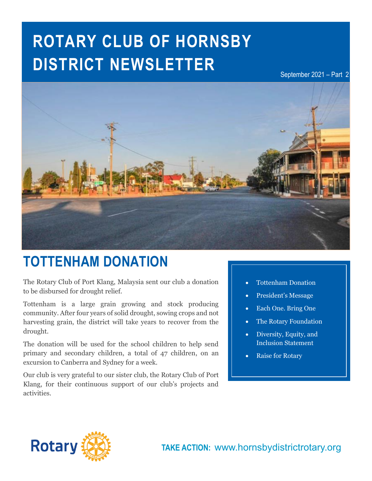# **ROTARY CLUB OF HORNSBY DISTRICT NEWSLETTER**

September 2021 – Part 2



## **TOTTENHAM DONATION**

The Rotary Club of Port Klang, Malaysia sent our club a donation to be disbursed for drought relief.

Tottenham is a large grain growing and stock producing community. After four years of solid drought, sowing crops and not harvesting grain, the district will take years to recover from the drought.

The donation will be used for the school children to help send primary and secondary children, a total of 47 children, on an excursion to Canberra and Sydney for a week.

Our club is very grateful to our sister club, the Rotary Club of Port Klang, for their continuous support of our club's projects and activities.

- **In this issue…** Tottenham Donation
- President's Message
- Each One. Bring One
- The Rotary Foundation
- Diversity, Equity, and Inclusion Statement
- Raise for Rotary

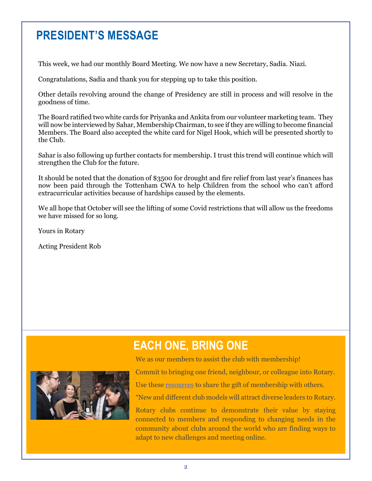## **PRESIDENT'S MESSAGE**

This week, we had our monthly Board Meeting. We now have a new Secretary, Sadia. Niazi.

Congratulations, Sadia and thank you for stepping up to take this position.

Other details revolving around the change of Presidency are still in process and will resolve in the goodness of time.

**Brochure Changes Coming** Members. The Board also accepted the white card for Nigel Hook, which will be presented shortly to **COVID-19 Local** Covid-19 Local Covid-19 Local Covid-19 Local Covid-19 Local Covid-19 Local Covid-19 Local Covid-19 Local Covid-19 Local Covid-19 Local Covid-19 Local Covid-19 Local Covid-19 Local Covid-19 Local Covid-19 L The Board ratified two white cards for Priyanka and Ankita from our volunteer marketing team. They will now be interviewed by Sahar, Membership Chairman, to see if they are willing to become financial the Club.

Sahar is also following up further contacts for membership. I trust this trend will continue which will strengthen the Club for the future.

It should be noted that the donation of \$3500 for drought and fire relief from last year's finances has now been paid through the Tottenham CWA to help Children from the school who can't afford extracurricular activities because of hardships caused by the elements.

We all hope that October will see the lifting of some Covid restrictions that will allow us the freedoms we have missed for so long.

Yours in Rotary

Acting President Rob



## **EACH ONE, BRING ONE**

We as our members to assist the club with membership!

Commit to bringing one friend, neighbour, or colleague into Rotary.

Use these [resources](https://my.rotary.org/en/learning-reference/learn-topic/membership?cid=cc_AllMember2021_20210803_eml_ad_mem_na_na_) to share the gift of membership with others.

"New and different club models will attract diverse leaders to Rotary.

Rotary clubs continue to demonstrate their value by staying connected to members and responding to changing needs in the community about clubs around the world who are finding ways to adapt to new challenges and meeting online.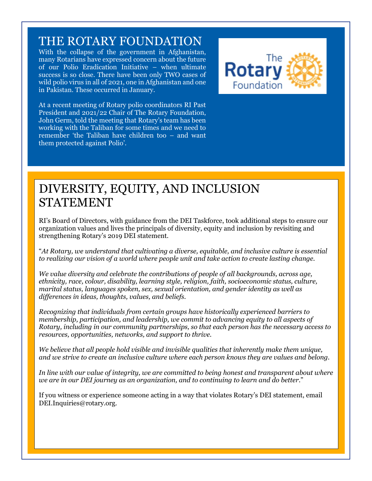#### THE ROTARY FOUNDATION

With the collapse of the government in Afghanistan, many Rotarians have expressed concern about the future of our Polio Eradication Initiative – when ultimate success is so close. There have been only TWO cases of wild polio virus in all of 2021, one in Afghanistan and one in Pakistan. These occurred in January.



At a recent meeting of Rotary polio coordinators RI Past President and 2021/22 Chair of The Rotary Foundation, John Germ, told the meeting that Rotary's team has been working with the Taliban for some times and we need to remember 'the Taliban have children too – and want them protected against Polio'.

## DIVERSITY, EQUITY, AND INCLUSION STATEMENT

RI's Board of Directors, with guidance from the DEI Taskforce, took additional steps to ensure our organization values and lives the principals of diversity, equity and inclusion by revisiting and strengthening Rotary's 2019 DEI statement.

"*At Rotary, we understand that cultivating a diverse, equitable, and inclusive culture is essential to realizing our vision of a world where people unit and take action to create lasting change.*

*We value diversity and celebrate the contributions of people of all backgrounds, across age, ethnicity, race, colour, disability, learning style, religion, faith, socioeconomic status, culture, marital status, languages spoken, sex, sexual orientation, and gender identity as well as differences in ideas, thoughts, values, and beliefs.*

*Recognizing that individuals from certain groups have historically experienced barriers to membership, participation, and leadership, we commit to advancing equity to all aspects of Rotary, including in our community partnerships, so that each person has the necessary access to resources, opportunities, networks, and support to thrive.*

*We believe that all people hold visible and invisible qualities that inherently make them unique, and we strive to create an inclusive culture where each person knows they are values and belong.*

*In line with our value of integrity, we are committed to being honest and transparent about where we are in our DEI journey as an organization, and to continuing to learn and do better*."

If you witness or experience someone acting in a way that violates Rotary's DEI statement, email DEI.Inquiries@rotary.org.